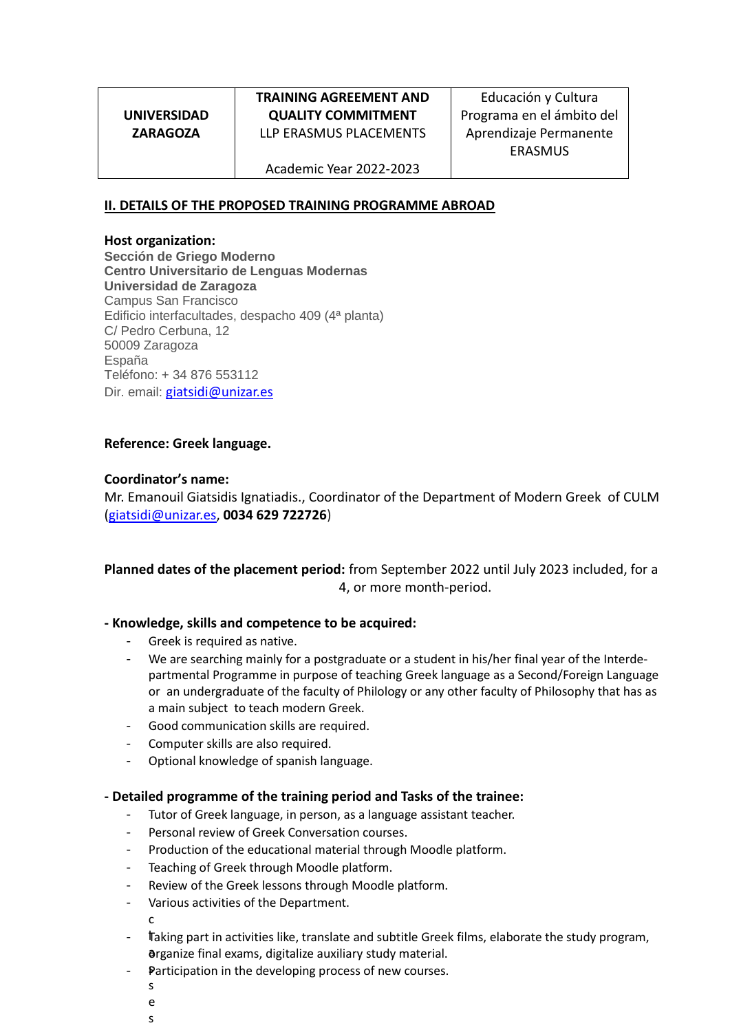**UNIVERSIDAD ZARAGOZA**

# **TRAINING AGREEMENT AND QUALITY COMMITMENT** LLP ERASMUS PLACEMENTS

Educación y Cultura Programa en el ámbito del Aprendizaje Permanente ERASMUS

Academic Year 2022-2023

## **II. DETAILS OF THE PROPOSED TRAINING PROGRAMME ABROAD**

#### **Host organization:**

**Sección de Griego Moderno Centro Universitario de Lenguas Modernas Universidad de Zaragoza** Campus San Francisco Edificio interfacultades, despacho 409 (4ª planta) C/ Pedro Cerbuna, 12 50009 Zaragoza España Teléfono: + 34 876 553112 Dir. email: [giatsidi@unizar.es](mailto:bvargas@unizar.es)

## **Reference: Greek language.**

#### **Coordinator's name:**

Mr. Emanouil Giatsidis Ignatiadis., Coordinator of the Department of Modern Greek of CULM [\(giatsidi@unizar.es,](mailto:bvargas@unizar.es) **0034 629 722726**)

## **Planned dates of the placement period:** from September 2022 until July 2023 included, for a 4, or more month-period.

#### **- Knowledge, skills and competence to be acquired:**

- Greek is required as native.
- We are searching mainly for a postgraduate or a student in his/her final year of the Interdepartmental Programme in purpose of teaching Greek language as a Second/Foreign Language or an undergraduate of the faculty of Philology or any other faculty of Philosophy that has as a main subject to teach modern Greek.
- Good communication skills are required.
- Computer skills are also required.
- Optional knowledge of spanish language.

#### **- Detailed programme of the training period and Tasks of the trainee:**

- Tutor of Greek language, in person, as a language assistant teacher.
- Personal review of Greek Conversation courses.
- Production of the educational material through Moodle platform.
- Teaching of Greek through Moodle platform.
- Review of the Greek lessons through Moodle platform.
- Various activities of the Department. c
- Taking part in activities like, translate and subtitle Greek films, elaborate the study program, a organize final exams, digitalize auxiliary study material.
- Participation in the developing process of new courses.
	- s e
	- s
	-